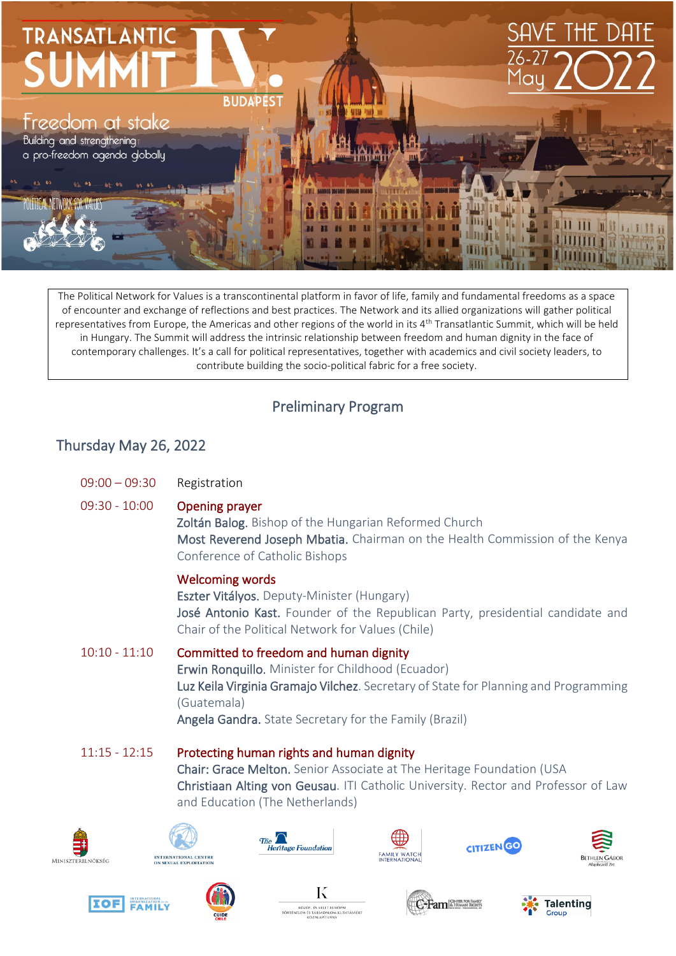

The Political Network for Values is a transcontinental platform in favor of life, family and fundamental freedoms as a space of encounter and exchange of reflections and best practices. The Network and its allied organizations will gather political representatives from Europe, the Americas and other regions of the world in its 4th Transatlantic Summit, which will be held in Hungary. The Summit will address the intrinsic relationship between freedom and human dignity in the face of contemporary challenges. It's a call for political representatives, together with academics and civil society leaders, to contribute building the socio-political fabric for a free society.

## Preliminary Program

## Thursday May 26, 2022

| $09:00 - 09:30$ | Registration                                                                                                                                                                                                                                                       |
|-----------------|--------------------------------------------------------------------------------------------------------------------------------------------------------------------------------------------------------------------------------------------------------------------|
| $09:30 - 10:00$ | <b>Opening prayer</b><br>Zoltán Balog. Bishop of the Hungarian Reformed Church<br>Most Reverend Joseph Mbatia. Chairman on the Health Commission of the Kenya<br>Conference of Catholic Bishops                                                                    |
|                 | <b>Welcoming words</b><br>Eszter Vitályos. Deputy-Minister (Hungary)<br>José Antonio Kast. Founder of the Republican Party, presidential candidate and<br>Chair of the Political Network for Values (Chile)                                                        |
| $10:10 - 11:10$ | Committed to freedom and human dignity<br>Erwin Ronquillo. Minister for Childhood (Ecuador)<br>Luz Keila Virginia Gramajo Vilchez. Secretary of State for Planning and Programming<br>(Guatemala)<br><b>Angela Gandra.</b> State Secretary for the Family (Brazil) |
| $11:15 - 12:15$ | Protecting human rights and human dignity<br>Chair: Grace Melton. Senior Associate at The Heritage Foundation (USA<br>Christiaan Alting von Geusau. ITI Catholic University. Rector and Professor of Law<br>and Education (The Netherlands)                        |
| SZTERELNÖKSÉG   | <b>Heritage Foundation</b>                                                                                                                                                                                                                                         |



 $MIN$ 







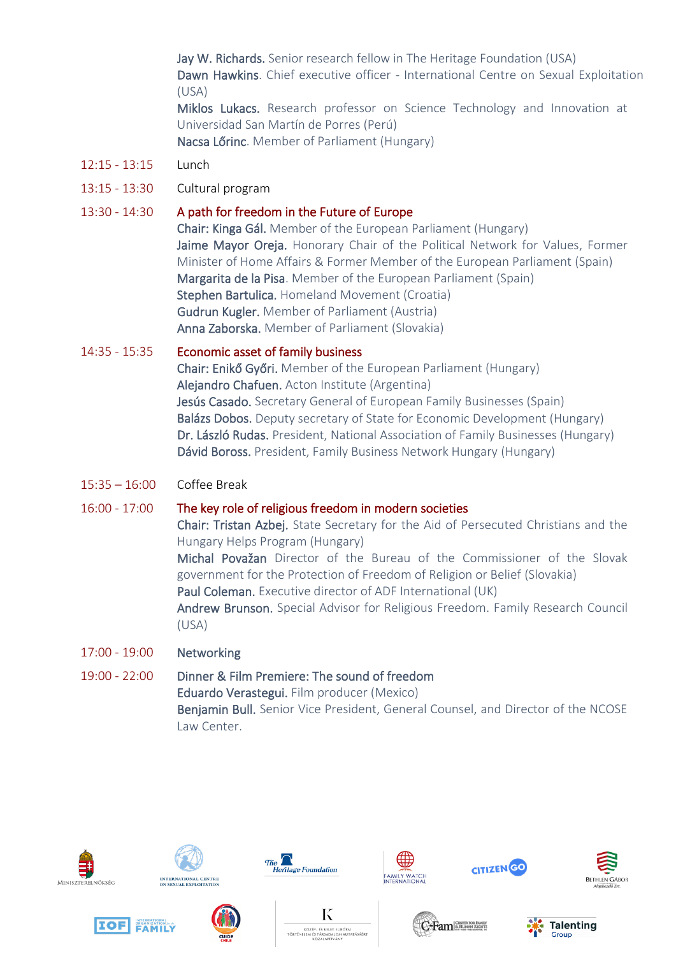Jay W. Richards. Senior research fellow in The Heritage Foundation (USA) Dawn Hawkins. Chief executive officer - International Centre on Sexual Exploitation (USA) Miklos Lukacs. Research professor on Science Technology and Innovation at

Universidad San Martín de Porres (Perú) Nacsa Lőrinc. Member of Parliament (Hungary)

- 12:15 13:15 Lunch
- 13:15 13:30 Cultural program

### 13:30 - 14:30 A path for freedom in the Future of Europe

Chair: Kinga Gál. Member of the European Parliament (Hungary) Jaime Mayor Oreja. Honorary Chair of the Political Network for Values, Former Minister of Home Affairs & Former Member of the European Parliament (Spain) Margarita de la Pisa. Member of the European Parliament (Spain) Stephen Bartulica. Homeland Movement (Croatia) Gudrun Kugler. Member of Parliament (Austria) Anna Zaborska. Member of Parliament (Slovakia)

#### 14:35 - 15:35 Economic asset of family business

Chair: Enikő Győri. Member of the European Parliament (Hungary) Alejandro Chafuen. Acton Institute (Argentina) Jesús Casado. Secretary General of European Family Businesses (Spain) Balázs Dobos. Deputy secretary of State for Economic Development (Hungary) Dr. László Rudas. President, National Association of Family Businesses (Hungary) Dávid Boross. President, Family Business Network Hungary (Hungary)

15:35 – 16:00 Coffee Break

#### 16:00 - 17:00 The key role of religious freedom in modern societies

Chair: Tristan Azbej. State Secretary for the Aid of Persecuted Christians and the Hungary Helps Program (Hungary) Michal Považan Director of the Bureau of the Commissioner of the Slovak government for the Protection of Freedom of Religion or Belief (Slovakia) Paul Coleman. Executive director of ADF International (UK)

Andrew Brunson. Special Advisor for Religious Freedom. Family Research Council (USA)

17:00 - 19:00 Networking

19:00 - 22:00 Dinner & Film Premiere: The sound of freedom Eduardo Verastegui. Film producer (Mexico) Benjamin Bull. Senior Vice President, General Counsel, and Director of the NCOSE Law Center.